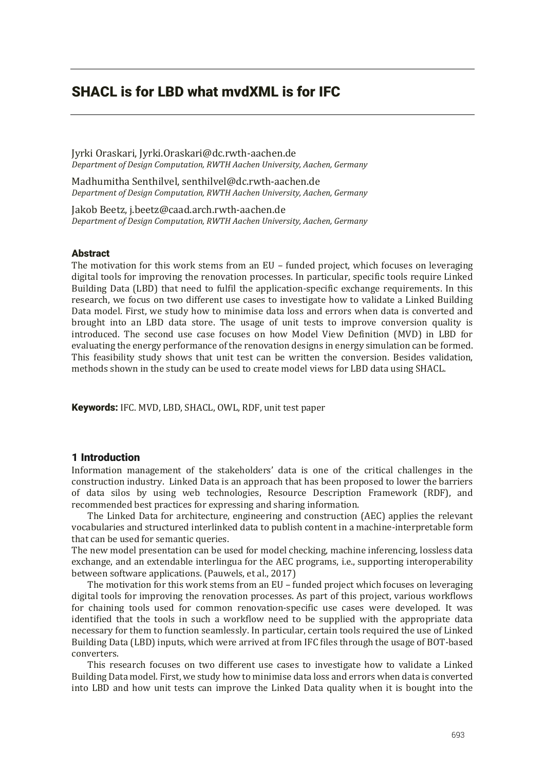# SHACL is for LBD what mvdXML is for IFC

Jyrki Oraskari, Jyrki.Oraskari@dc.rwth-aachen.de *Department of Design Computation, RWTH Aachen University, Aachen, Germany*

Madhumitha Senthilvel, senthilvel@dc.rwth-aachen.de *Department of Design Computation, RWTH Aachen University, Aachen, Germany*

Jakob Beetz, j.beetz@caad.arch.rwth-aachen.de *Department of Design Computation, RWTH Aachen University, Aachen, Germany*

#### Abstract

The motivation for this work stems from an EU - funded project, which focuses on leveraging digital tools for improving the renovation processes. In particular, specific tools require Linked Building Data (LBD) that need to fulfil the application-specific exchange requirements. In this research, we focus on two different use cases to investigate how to validate a Linked Building Data model. First, we study how to minimise data loss and errors when data is converted and brought into an LBD data store. The usage of unit tests to improve conversion quality is introduced. The second use case focuses on how Model View Definition (MVD) in LBD for evaluating the energy performance of the renovation designs in energy simulation can be formed. This feasibility study shows that unit test can be written the conversion. Besides validation, methods shown in the study can be used to create model views for LBD data using SHACL.

Keywords: IFC. MVD, LBD, SHACL, OWL, RDF, unit test paper

## 1 Introduction

Information management of the stakeholders' data is one of the critical challenges in the construction industry. Linked Data is an approach that has been proposed to lower the barriers of data silos by using web technologies, Resource Description Framework (RDF), and recommended best practices for expressing and sharing information.

The Linked Data for architecture, engineering and construction (AEC) applies the relevant vocabularies and structured interlinked data to publish content in a machine-interpretable form that can be used for semantic queries.

The new model presentation can be used for model checking, machine inferencing, lossless data exchange, and an extendable interlingua for the AEC programs, i.e., supporting interoperability between software applications. (Pauwels, et al., 2017)

The motivation for this work stems from an EU  $-$  funded project which focuses on leveraging digital tools for improving the renovation processes. As part of this project, various workflows for chaining tools used for common renovation-specific use cases were developed. It was identified that the tools in such a workflow need to be supplied with the appropriate data necessary for them to function seamlessly. In particular, certain tools required the use of Linked Building Data (LBD) inputs, which were arrived at from IFC files through the usage of BOT-based converters.

This research focuses on two different use cases to investigate how to validate a Linked Building Data model. First, we study how to minimise data loss and errors when data is converted into LBD and how unit tests can improve the Linked Data quality when it is bought into the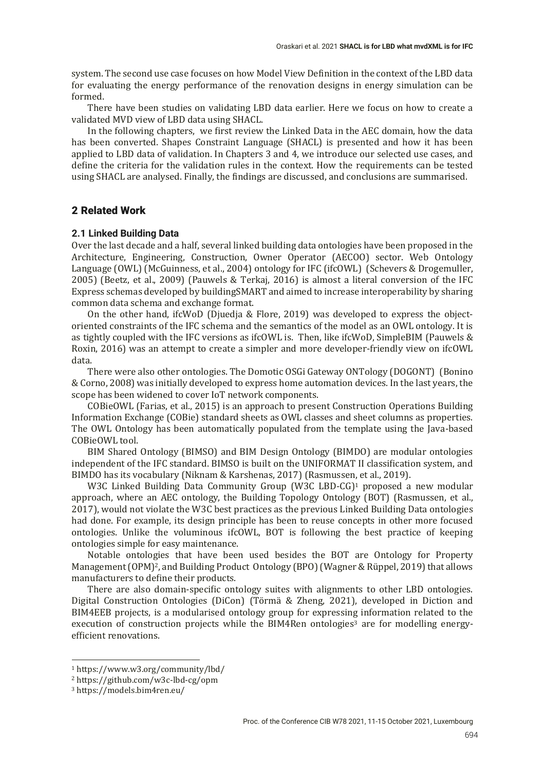system. The second use case focuses on how Model View Definition in the context of the LBD data for evaluating the energy performance of the renovation designs in energy simulation can be formed.

There have been studies on validating LBD data earlier. Here we focus on how to create a validated MVD view of LBD data using SHACL.

In the following chapters, we first review the Linked Data in the AEC domain, how the data has been converted. Shapes Constraint Language (SHACL) is presented and how it has been applied to LBD data of validation. In Chapters 3 and 4, we introduce our selected use cases, and define the criteria for the validation rules in the context. How the requirements can be tested using SHACL are analysed. Finally, the findings are discussed, and conclusions are summarised.

# 2 Related Work

## **2.1 Linked Building Data**

Over the last decade and a half, several linked building data ontologies have been proposed in the Architecture, Engineering, Construction, Owner Operator (AECOO) sector. Web Ontology Language (OWL) (McGuinness, et al., 2004) ontology for IFC (ifcOWL) (Schevers & Drogemuller, 2005) (Beetz, et al., 2009) (Pauwels & Terkaj, 2016) is almost a literal conversion of the IFC Express schemas developed by buildingSMART and aimed to increase interoperability by sharing common data schema and exchange format.

On the other hand, ifcWoD (Djuedja & Flore, 2019) was developed to express the objectoriented constraints of the IFC schema and the semantics of the model as an OWL ontology. It is as tightly coupled with the IFC versions as if cOWL is. Then, like if cWoD, SimpleBIM (Pauwels  $&$ Roxin, 2016) was an attempt to create a simpler and more developer-friendly view on ifcOWL data.

There were also other ontologies. The Domotic OSGi Gateway ONTology (DOGONT) (Bonino & Corno, 2008) was initially developed to express home automation devices. In the last years, the scope has been widened to cover IoT network components.

COBieOWL (Farias, et al., 2015) is an approach to present Construction Operations Building Information Exchange (COBie) standard sheets as OWL classes and sheet columns as properties. The OWL Ontology has been automatically populated from the template using the Java-based COBieOWL tool.

BIM Shared Ontology (BIMSO) and BIM Design Ontology (BIMDO) are modular ontologies independent of the IFC standard. BIMSO is built on the UNIFORMAT II classification system, and BIMDO has its vocabulary (Niknam & Karshenas, 2017) (Rasmussen, et al., 2019).

W3C Linked Building Data Community Group (W3C LBD-CG)<sup>1</sup> proposed a new modular approach, where an AEC ontology, the Building Topology Ontology (BOT) (Rasmussen, et al., 2017), would not violate the W3C best practices as the previous Linked Building Data ontologies had done. For example, its design principle has been to reuse concepts in other more focused ontologies. Unlike the voluminous ifcOWL, BOT is following the best practice of keeping ontologies simple for easy maintenance.

Notable ontologies that have been used besides the BOT are Ontology for Property Management (OPM)<sup>2</sup>, and Building Product Ontology (BPO) (Wagner & Rüppel, 2019) that allows manufacturers to define their products.

There are also domain-specific ontology suites with alignments to other LBD ontologies. Digital Construction Ontologies (DiCon) (Törmä & Zheng, 2021), developed in Diction and BIMͶEEB projects, is a modularised ontology group for expressing information related to the execution of construction projects while the BIM4Ren ontologies<sup>3</sup> are for modelling energyefficient renovations.

<sup>1</sup> https://www.w3.org/community/lbd/

<sup>2</sup> https://github.com/w3c-lbd-cg/opm

<sup>3</sup> https://models.bim4ren.eu/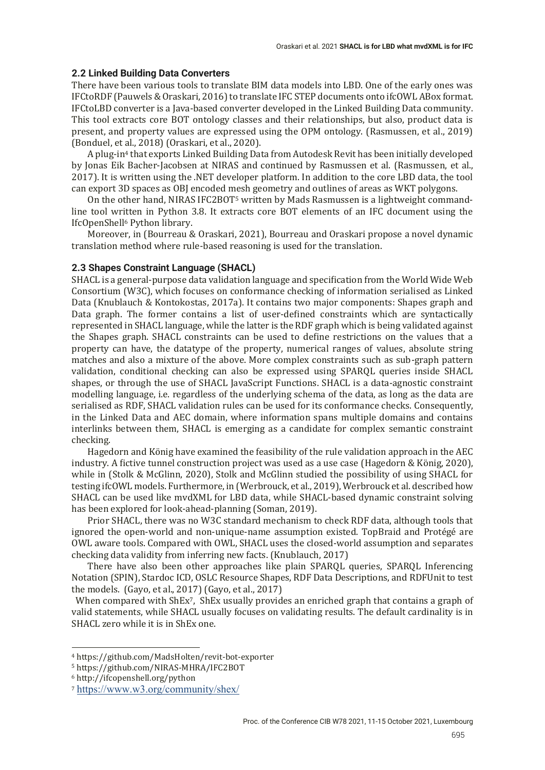# **2.2 Linked Building Data Converters**

There have been various tools to translate BIM data models into LBD. One of the early ones was IFCtoRDF (Pauwels & Oraskari, 2016) to translate IFC STEP documents onto ifcOWL ABox format. IFCtoLBD converter is a Java-based converter developed in the Linked Building Data community. This tool extracts core BOT ontology classes and their relationships, but also, product data is present, and property values are expressed using the OPM ontology. (Rasmussen, et al., 2019)  $(Bonduel, et al., 2018) (Oraskari, et al., 2020).$ 

A plug-in<sup>4</sup> that exports Linked Building Data from Autodesk Revit has been initially developed by Jonas Eik Bacher-Jacobsen at NIRAS and continued by Rasmussen et al. (Rasmussen, et al., 2017). It is written using the .NET developer platform. In addition to the core LBD data, the tool can export 3D spaces as OBJ encoded mesh geometry and outlines of areas as WKT polygons.

On the other hand, NIRAS IFC2BOT<sup>5</sup> written by Mads Rasmussen is a lightweight commandline tool written in Python 3.8. It extracts core BOT elements of an IFC document using the IfcOpenShell<sup>6</sup> Python library.

Moreover, in (Bourreau & Oraskari, 2021), Bourreau and Oraskari propose a novel dynamic translation method where rule-based reasoning is used for the translation.

# **2.3 Shapes Constraint Language (SHACL)**

SHACL is a general-purpose data validation language and specification from the World Wide Web Consortium (W3C), which focuses on conformance checking of information serialised as Linked Data (Knublauch & Kontokostas, 2017a). It contains two major components: Shapes graph and Data graph. The former contains a list of user-defined constraints which are syntactically represented in SHACL language, while the latter is the RDF graph which is being validated against the Shapes graph. SHACL constraints can be used to define restrictions on the values that a property can have, the datatype of the property, numerical ranges of values, absolute string matches and also a mixture of the above. More complex constraints such as sub-graph pattern validation, conditional checking can also be expressed using SPARQL queries inside SHACL shapes, or through the use of SHACL JavaScript Functions. SHACL is a data-agnostic constraint modelling language, i.e. regardless of the underlying schema of the data, as long as the data are serialised as RDF, SHACL validation rules can be used for its conformance checks. Consequently, in the Linked Data and AEC domain, where information spans multiple domains and contains interlinks between them, SHACL is emerging as a candidate for complex semantic constraint checking.

Hagedorn and König have examined the feasibility of the rule validation approach in the AEC industry. A fictive tunnel construction project was used as a use case (Hagedorn & König, 2020), while in (Stolk & McGlinn, 2020), Stolk and McGlinn studied the possibility of using SHACL for testing ifcOWL models. Furthermore, in (Werbrouck, et al., 2019), Werbrouck et al. described how SHACL can be used like mvdXML for LBD data, while SHACL-based dynamic constraint solving has been explored for look-ahead-planning (Soman, 2019).

Prior SHACL, there was no W3C standard mechanism to check RDF data, although tools that ignored the open-world and non-unique-name assumption existed. TopBraid and Protégé are OWL aware tools. Compared with OWL, SHACL uses the closed-world assumption and separates checking data validity from inferring new facts. (Knublauch, 2017)

There have also been other approaches like plain SPARQL queries, SPARQL Inferencing Notation (SPIN), Stardoc ICD, OSLC Resource Shapes, RDF Data Descriptions, and RDFUnit to test the models. (Gayo, et al., 2017) (Gayo, et al., 2017)

When compared with ShEx<sup>7</sup>, ShEx usually provides an enriched graph that contains a graph of valid statements, while SHACL usually focuses on validating results. The default cardinality is in SHACL zero while it is in ShEx one.

<sup>4</sup> https://github.com/MadsHolten/revit-bot-exporter

<sup>5</sup> https://github.com/NIRAS-MHRA/IFC2BOT

<sup>6</sup> http://ifcopenshell.org/python

<sup>7</sup> https://www.w3.org/community/shex/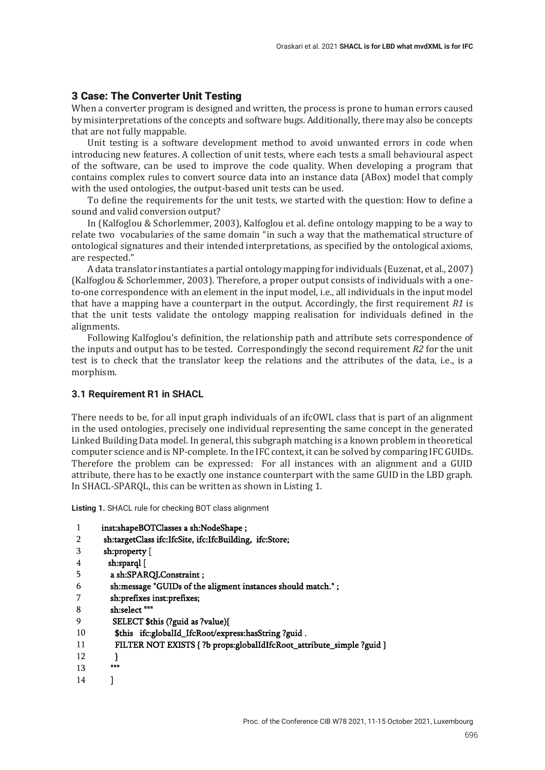# 3 Case: The Converter Unit Testing

When a converter program is designed and written, the process is prone to human errors caused by misinterpretations of the concepts and software bugs. Additionally, there may also be concepts that are not fully mappable.

Unit testing is a software development method to avoid unwanted errors in code when introducing new features. A collection of unit tests, where each tests a small behavioural aspect of the software, can be used to improve the code quality. When developing a program that contains complex rules to convert source data into an instance data (ABox) model that comply with the used ontologies, the output-based unit tests can be used.

To define the requirements for the unit tests, we started with the question: How to define a sound and valid conversion output?

In (Kalfoglou & Schorlemmer, 2003), Kalfoglou et al. define ontology mapping to be a way to relate two vocabularies of the same domain "in such a way that the mathematical structure of ontological signatures and their intended interpretations, as specified by the ontological axioms, are respected."

A data translator instantiates a partial ontology mapping for individuals (Euzenat, et al., 2007) (Kalfoglou & Schorlemmer, 2003). Therefore, a proper output consists of individuals with a oneto-one correspondence with an element in the input model, i.e., all individuals in the input model that have a mapping have a counterpart in the output. Accordingly, the first requirement *R1* is that the unit tests validate the ontology mapping realisation for individuals defined in the alignments.

Following Kalfoglou's definition, the relationship path and attribute sets correspondence of the inputs and output has to be tested. Correspondingly the second requirement *R2* for the unit test is to check that the translator keep the relations and the attributes of the data, i.e., is a morphism.

#### **3.1 Requirement R1 in SHACL**

There needs to be, for all input graph individuals of an ifcOWL class that is part of an alignment in the used ontologies, precisely one individual representing the same concept in the generated Linked Building Data model. In general, this subgraph matching is a known problem in theoretical computer science and is NP-complete. In the IFC context, it can be solved by comparing IFC GUIDs. Therefore the problem can be expressed: For all instances with an alignment and a GUID attribute, there has to be exactly one instance counterpart with the same GUID in the LBD graph. In SHACL-SPARQL, this can be written as shown in Listing 1.

**Listing 1.** SHACL rule for checking BOT class alignment

| inst:shapeBOTClasses a sh:NodeShape;                    |
|---------------------------------------------------------|
| sh:targetClass ifc:IfcSite, ifc:IfcBuilding, ifc:Store; |
| sh:property [                                           |

4 sh:property [

```
5
          sh:sparql [ 
           a sh:SPARQLConstraint ;
```
- 6 sh:message "GUIDs of the aligment instances should match." ;
- 7 sh:prefixes inst:prefixes;
- 8 sh:select """

]

- 9 SELECT \$this (?guid as ?value){
- $10$ \$this ifc:globalId\_IfcRoot/express:hasString ?guid .
- 11 FILTER NOT EXISTS { ?b props:globalIdIfcRoot\_attribute\_simple ?guid }
- 12 }

- 13 ""
- 14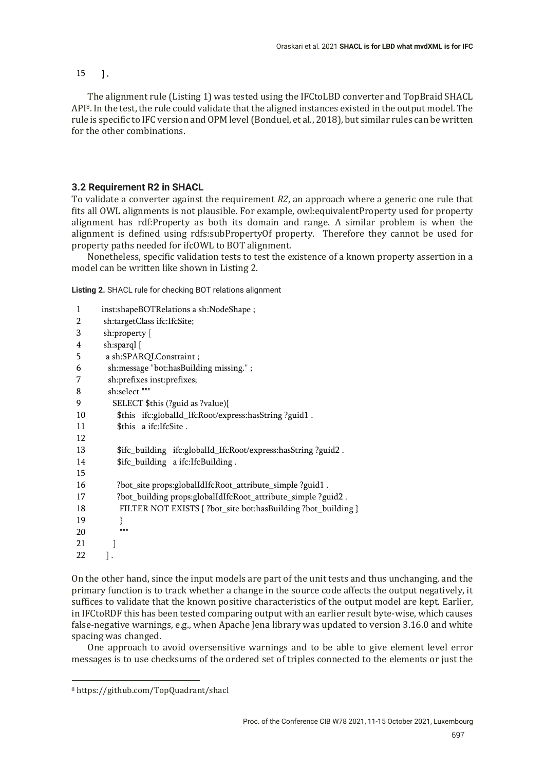## 15 ].

The alignment rule (Listing 1) was tested using the IFCtoLBD converter and TopBraid SHACL API8. In the test, the rule could validate that the aligned instances existed in the output model. The rule is specific to IFC version and OPM level (Bonduel, et al., 2018), but similar rules can be written for the other combinations.

# **3.2 Requirement R2 in SHACL**

To validate a converter against the requirement *R2*, an approach where a generic one rule that fits all OWL alignments is not plausible. For example, owl:equivalentProperty used for property alignment has rdf:Property as both its domain and range. A similar problem is when the alignment is defined using rdfs:subPropertyOf property. Therefore they cannot be used for property paths needed for ifcOWL to BOT alignment.

Nonetheless, specific validation tests to test the existence of a known property assertion in a model can be written like shown in Listing 2.

**Listing 2.** SHACL rule for checking BOT relations alignment

| $\mathbf{1}$ | inst:shapeBOTRelations a sh:NodeShape;                        |
|--------------|---------------------------------------------------------------|
| 2            | sh:targetClass ifc:IfcSite;                                   |
| 3            | sh:property [                                                 |
| 4            | sh:sparql [                                                   |
| 5            | a sh:SPARQLConstraint;                                        |
| 6            | sh:message "bot:hasBuilding missing.";                        |
| 7            | sh:prefixes inst:prefixes;                                    |
| 8            | sh:select """                                                 |
| 9            | SELECT \$this (?guid as ?value){                              |
| 10           | \$this ifc:globalId_IfcRoot/express:hasString ?guid1.         |
| 11           | \$this a ifc: IfcSite.                                        |
| 12           |                                                               |
| 13           | \$ifc_building ifc:globalId_IfcRoot/express:hasString?guid2.  |
| 14           | \$ifc_building a ifc:IfcBuilding.                             |
| 15           |                                                               |
| 16           | ?bot_site props:globalIdIfcRoot_attribute_simple ?guid1.      |
| 17           | ?bot_building props:globalIdIfcRoot_attribute_simple ?guid2.  |
| 18           | FILTER NOT EXISTS { ?bot_site bot:hasBuilding ?bot_building } |
| 19           | ł                                                             |
| 20           | 11 11 11                                                      |
| 21           |                                                               |
| 22           |                                                               |

On the other hand, since the input models are part of the unit tests and thus unchanging, and the primary function is to track whether a change in the source code affects the output negatively, it suffices to validate that the known positive characteristics of the output model are kept. Earlier, in IFCtoRDF this has been tested comparing output with an earlier result byte-wise, which causes false-negative warnings, e.g., when Apache Jena library was updated to version 3.16.0 and white spacing was changed.

One approach to avoid oversensitive warnings and to be able to give element level error messages is to use checksums of the ordered set of triples connected to the elements or just the

<sup>8</sup> https://github.com/TopQuadrant/shacl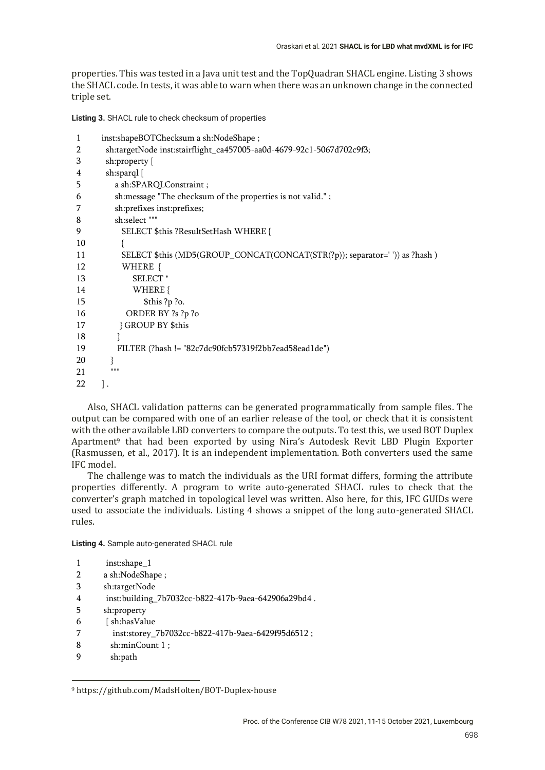properties. This was tested in a Java unit test and the TopQuadran SHACL engine. Listing 3 shows the SHACL code. In tests, it was able to warn when there was an unknown change in the connected triple set.

**Listing 3.** SHACL rule to check checksum of properties

```
1
\overline{2}3
4
5
6
7
8
9
10
11
12
13
14
15
16
17
18
19
20
21
22
      inst:shapeBOTChecksum a sh:NodeShape ;
        sh:targetNode inst:stairflight_ca457005-aa0d-4679-92c1-5067d702c9f3;
        sh:property [
        sh:sparql [
           a sh:SPARQLConstraint ;
           sh:message "The checksum of the properties is not valid." ;
           sh:prefixes inst:prefixes;
           sh:select """
             SELECT $this ?ResultSetHash WHERE {
             {
             SELECT $this (MD5(GROUP_CONCAT(CONCAT(STR(?p)); separator=' ')) as ?hash ) 
            WHERE {
                SELECT * 
               WHERE {
                   $this ?p ?o.
              ORDER BY ?s ?p ?o
            } GROUP BY $this 
           }
           FILTER (?hash != "82c7dc90fcb57319f2bb7ead58ead1de")
          }
         "'''] .
```
Also, SHACL validation patterns can be generated programmatically from sample files. The output can be compared with one of an earlier release of the tool, or check that it is consistent with the other available LBD converters to compare the outputs. To test this, we used BOT Duplex Apartment<sup>9</sup> that had been exported by using Nira's Autodesk Revit LBD Plugin Exporter (Rasmussen, et al., 2017). It is an independent implementation. Both converters used the same IFC model.

The challenge was to match the individuals as the URI format differs, forming the attribute properties differently. A program to write auto-generated SHACL rules to check that the converter's graph matched in topological level was written. Also here, for this, IFC GUIDs were used to associate the individuals. Listing 4 shows a snippet of the long auto-generated SHACL rules.

**Listing 4.** Sample auto-generated SHACL rule

```
1
         inst:shape_1
```
- 2 a sh:NodeShape ;
- 3 sh:targetNode
- 4 inst:building\_7b7032cc-b822-417b-9aea-642906a29bd4 .
- 5 sh:property
- 6 [ sh:hasValue
- 7 inst:storey\_7b7032cc-b822-417b-9aea-6429f95d6512 ;
- 8 sh:minCount 1 ;
- 9 sh:path

<sup>9</sup> https://github.com/MadsHolten/BOT-Duplex-house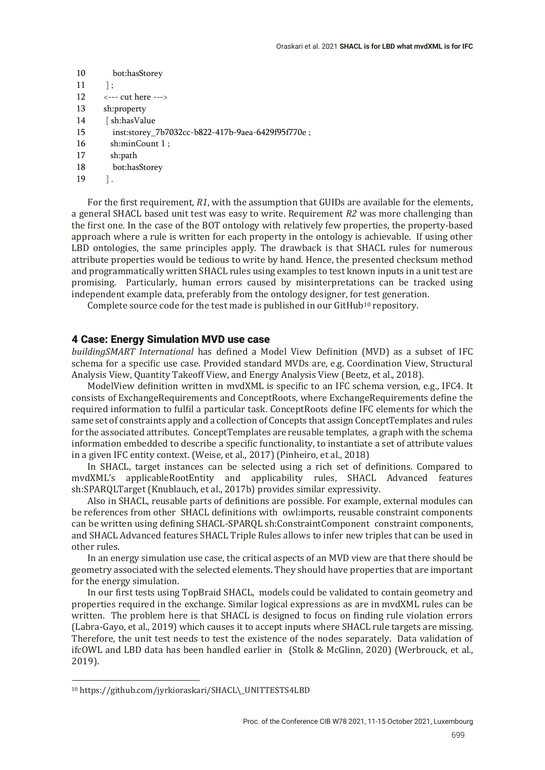- 10 bot:hasStorey
- 11 ] ;
- 12 <--- cut here --->
- 13 sh:property
- 14 [ sh:hasValue
- 15 inst:storey\_7b7032cc-b822-417b-9aea-6429f95f770e ;
- 16 sh:minCount 1 ;
- 17 sh:path
- 18 bot:hasStorey
- 19 ] .

For the first requirement, *R1*, with the assumption that GUIDs are available for the elements, a general SHACL based unit test was easy to write. Requirement *R2* was more challenging than the ϐirst one. In the case of the BOT ontology with relatively few properties, the property-based approach where a rule is written for each property in the ontology is achievable. If using other LBD ontologies, the same principles apply. The drawback is that SHACL rules for numerous attribute properties would be tedious to write by hand. Hence, the presented checksum method and programmatically written SHACL rules using examples to test known inputs in a unit test are promising. Particularly, human errors caused by misinterpretations can be tracked using independent example data, preferably from the ontology designer, for test generation.

Complete source code for the test made is published in our GitHub<sup>10</sup> repository.

### 4 Case: Energy Simulation MVD use case

*buildingSMART International* has defined a Model View Definition (MVD) as a subset of IFC schema for a specific use case. Provided standard MVDs are, e.g. Coordination View, Structural Analysis View, Quantity Takeoff View, and Energy Analysis View (Beetz, et al., 2018).

ModelView definition written in mvdXML is specific to an IFC schema version, e.g., IFC4. It consists of ExchangeRequirements and ConceptRoots, where ExchangeRequirements define the required information to fulfil a particular task. ConceptRoots define IFC elements for which the same set of constraints apply and a collection of Concepts that assign ConceptTemplates and rules for the associated attributes. ConceptTemplates are reusable templates, a graph with the schema information embedded to describe a specific functionality, to instantiate a set of attribute values in a given IFC entity context. (Weise, et al., 2017) (Pinheiro, et al., 2018)

In SHACL, target instances can be selected using a rich set of definitions. Compared to mvdXML's applicableRootEntity and applicability rules, SHACL Advanced features sh:SPARQLTarget (Knublauch, et al., 2017b) provides similar expressivity.

Also in SHACL, reusable parts of definitions are possible. For example, external modules can be references from other SHACL definitions with owl:imports, reusable constraint components can be written using defining SHACL-SPAROL sh:ConstraintComponent constraint components, and SHACL Advanced features SHACL Triple Rules allows to infer new triples that can be used in other rules.

In an energy simulation use case, the critical aspects of an MVD view are that there should be geometry associated with the selected elements. They should have properties that are important for the energy simulation.

In our first tests using TopBraid SHACL, models could be validated to contain geometry and properties required in the exchange. Similar logical expressions as are in mvdXML rules can be written. The problem here is that SHACL is designed to focus on finding rule violation errors (Labra-Gayo, et al., 2019) which causes it to accept inputs where SHACL rule targets are missing. Therefore, the unit test needs to test the existence of the nodes separately. Data validation of ifcOWL and LBD data has been handled earlier in (Stolk & McGlinn, 2020) (Werbrouck, et al., 2019).

<sup>10</sup> https://github.com/jyrkioraskari/SHACL\\_UNITTESTS4LBD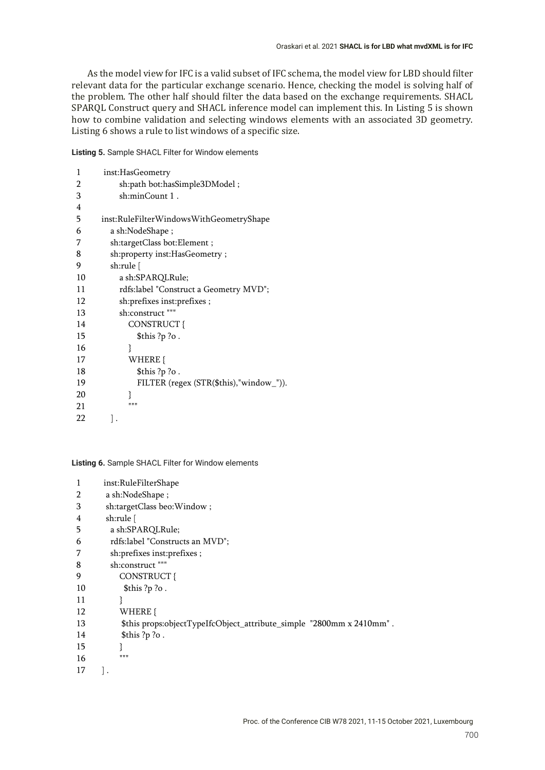As the model view for IFC is a valid subset of IFC schema, the model view for LBD should filter relevant data for the particular exchange scenario. Hence, checking the model is solving half of the problem. The other half should filter the data based on the exchange requirements. SHACL SPARQL Construct query and SHACL inference model can implement this. In Listing 5 is shown how to combine validation and selecting windows elements with an associated 3D geometry. Listing 6 shows a rule to list windows of a specific size.

**Listing 5.** Sample SHACL Filter for Window elements

| 1  | inst:HasGeometry                          |
|----|-------------------------------------------|
| 2  | sh:path bot:hasSimple3DModel;             |
| 3  | sh:minCount 1.                            |
| 4  |                                           |
| 5  | inst:RuleFilterWindowsWithGeometryShape   |
| 6  | a sh:NodeShape;                           |
| 7  | sh:targetClass bot:Element;               |
| 8  | sh:property inst:HasGeometry;             |
| 9  | sh:rule [                                 |
| 10 | a sh:SPARQLRule;                          |
| 11 | rdfs:label "Construct a Geometry MVD";    |
| 12 | sh:prefixes inst:prefixes;                |
| 13 | sh:construct                              |
| 14 | CONSTRUCT {                               |
| 15 | \$this ?p ?o.                             |
| 16 | }                                         |
| 17 | WHERE {                                   |
| 18 | \$this ?p ?o.                             |
| 19 | FILTER (regex $(STR($this), "window"$ )). |
| 20 | ł                                         |
| 21 | 11 11 11                                  |
| 22 |                                           |
|    |                                           |

**Listing 6.** Sample SHACL Filter for Window elements

| 1  | inst:RuleFilterShape                                                 |
|----|----------------------------------------------------------------------|
| 2  | a sh:NodeShape;                                                      |
| 3  | sh:targetClass beo:Window;                                           |
| 4  | sh:rule [                                                            |
| 5  | a sh:SPARQLRule;                                                     |
| 6  | rdfs:label "Constructs an MVD";                                      |
| 7  | sh:prefixes inst:prefixes;                                           |
| 8  | sh:construct """                                                     |
| 9  | CONSTRUCT {                                                          |
| 10 | \$this ?p ?o.                                                        |
| 11 | }                                                                    |
| 12 | WHERE {                                                              |
| 13 | \$this props:objectTypeIfcObject_attribute_simple "2800mm x 2410mm". |
| 14 | \$this ?p ?o.                                                        |
| 15 |                                                                      |
| 16 | <b>HHH</b>                                                           |
| 17 |                                                                      |
|    |                                                                      |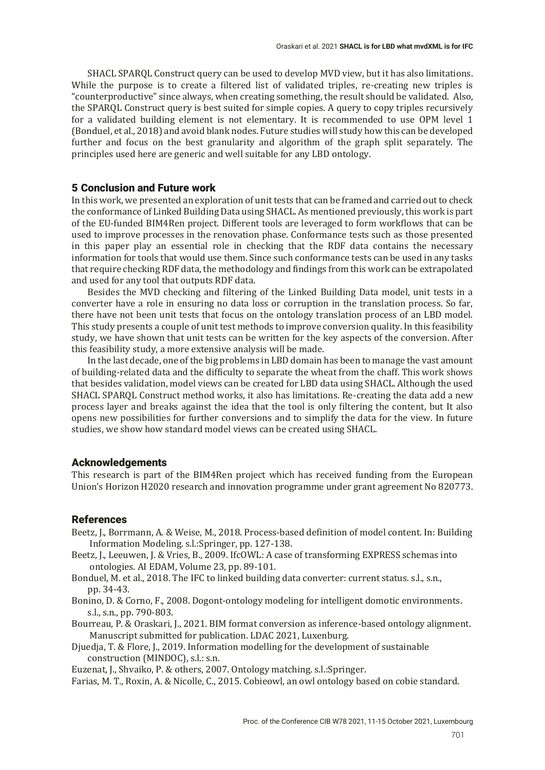SHACL SPARQL Construct query can be used to develop MVD view, but it has also limitations. While the purpose is to create a filtered list of validated triples, re-creating new triples is "counterproductive" since always, when creating something, the result should be validated. Also, the SPARQL Construct query is best suited for simple copies. A query to copy triples recursively for a validated building element is not elementary. It is recommended to use OPM level 1 (Bonduel, et al., 2018) and avoid blank nodes. Future studies will study how this can be developed further and focus on the best granularity and algorithm of the graph split separately. The principles used here are generic and well suitable for any LBD ontology.

## 5 Conclusion and Future work

In this work, we presented an exploration of unit tests that can be framed and carried out to check the conformance of Linked Building Data using SHACL. As mentioned previously, this work is part of the EU-funded BIM4Ren project. Different tools are leveraged to form workflows that can be used to improve processes in the renovation phase. Conformance tests such as those presented in this paper play an essential role in checking that the RDF data contains the necessary information for tools that would use them. Since such conformance tests can be used in any tasks that require checking RDF data, the methodology and findings from this work can be extrapolated and used for any tool that outputs RDF data.

Besides the MVD checking and filtering of the Linked Building Data model, unit tests in a converter have a role in ensuring no data loss or corruption in the translation process. So far, there have not been unit tests that focus on the ontology translation process of an LBD model. This study presents a couple of unit test methods to improve conversion quality. In this feasibility study, we have shown that unit tests can be written for the key aspects of the conversion. After this feasibility study, a more extensive analysis will be made.

In the last decade, one of the big problems in LBD domain has been to manage the vast amount of building-related data and the difficulty to separate the wheat from the chaff. This work shows that besides validation, model views can be created for LBD data using SHACL. Although the used SHACL SPARQL Construct method works, it also has limitations. Re-creating the data add a new process layer and breaks against the idea that the tool is only filtering the content, but It also opens new possibilities for further conversions and to simplify the data for the view. In future studies, we show how standard model views can be created using SHACL.

#### Acknowledgements

This research is part of the BIM4Ren project which has received funding from the European Union's Horizon H2020 research and innovation programme under grant agreement No 820773.

## References

- Beetz, J., Borrmann, A. & Weise, M., 2018. Process-based definition of model content. In: Building Information Modeling. s.l.:Springer, pp. 127-138.
- Beetz, J., Leeuwen, J. & Vries, B., 2009. IfcOWL: A case of transforming EXPRESS schemas into ontologies. AI EDAM, Volume 23, pp. 89-101.
- Bonduel, M. et al., 2018. The IFC to linked building data converter: current status. s.l., s.n., pp. 34-43.
- Bonino, D. & Corno, F., 2008. Dogont-ontology modeling for intelligent domotic environments. s.l., s.n., pp. 790-803.
- Bourreau, P. & Oraskari, J., 2021. BIM format conversion as inference-based ontology alignment. Manuscript submitted for publication. LDAC 2021, Luxenburg.
- Djuedja, T. & Flore, J., 2019. Information modelling for the development of sustainable construction (MINDOC), s.l.: s.n.

Euzenat, J., Shvaiko, P. & others, 2007. Ontology matching. s.l.:Springer.

Farias, M. T., Roxin, A. & Nicolle, C., 2015. Cobieowl, an owl ontology based on cobie standard.